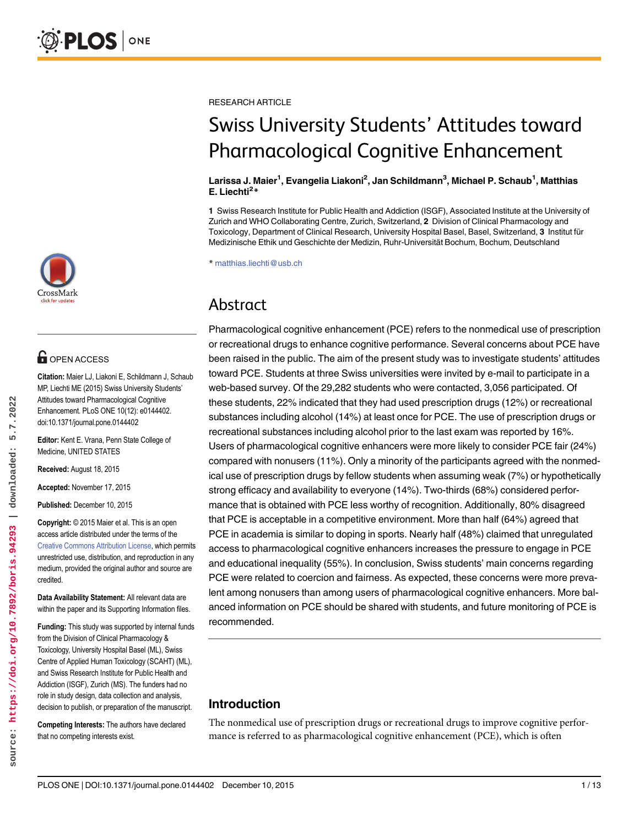

## **OPEN ACCESS**

Citation: Maier LJ, Liakoni E, Schildmann J, Schaub MP, Liechti ME (2015) Swiss University Students' Attitudes toward Pharmacological Cognitive Enhancement. PLoS ONE 10(12): e0144402. doi:10.1371/journal.pone.0144402

Editor: Kent E. Vrana, Penn State College of Medicine, UNITED STATES

Received: August 18, 2015

Accepted: November 17, 2015

Published: December 10, 2015

Copyright: © 2015 Maier et al. This is an open access article distributed under the terms of the [Creative Commons Attribution License,](http://creativecommons.org/licenses/by/4.0/) which permits unrestricted use, distribution, and reproduction in any medium, provided the original author and source are credited.

Data Availability Statement: All relevant data are within the paper and its Supporting Information files.

Funding: This study was supported by internal funds from the Division of Clinical Pharmacology & Toxicology, University Hospital Basel (ML), Swiss Centre of Applied Human Toxicology (SCAHT) (ML), and Swiss Research Institute for Public Health and Addiction (ISGF), Zurich (MS). The funders had no role in study design, data collection and analysis, decision to publish, or preparation of the manuscript.

Competing Interests: The authors have declared that no competing interests exist.

RESEARCH ARTICLE

# Swiss University Students' Attitudes toward Pharmacological Cognitive Enhancement

#### Larissa J. Maier<sup>1</sup>, Evangelia Liakoni<sup>2</sup>, Jan Schildmann<sup>3</sup>, Michael P. Schaub<sup>1</sup>, Matthias E. Liechti<sup>2\*</sup>

1 Swiss Research Institute for Public Health and Addiction (ISGF), Associated Institute at the University of Zurich and WHO Collaborating Centre, Zurich, Switzerland, 2 Division of Clinical Pharmacology and Toxicology, Department of Clinical Research, University Hospital Basel, Basel, Switzerland, 3 Institut für Medizinische Ethik und Geschichte der Medizin, Ruhr-Universität Bochum, Bochum, Deutschland

\* matthias.liechti@usb.ch

## Abstract

Pharmacological cognitive enhancement (PCE) refers to the nonmedical use of prescription or recreational drugs to enhance cognitive performance. Several concerns about PCE have been raised in the public. The aim of the present study was to investigate students' attitudes toward PCE. Students at three Swiss universities were invited by e-mail to participate in a web-based survey. Of the 29,282 students who were contacted, 3,056 participated. Of these students, 22% indicated that they had used prescription drugs (12%) or recreational substances including alcohol (14%) at least once for PCE. The use of prescription drugs or recreational substances including alcohol prior to the last exam was reported by 16%. Users of pharmacological cognitive enhancers were more likely to consider PCE fair (24%) compared with nonusers (11%). Only a minority of the participants agreed with the nonmedical use of prescription drugs by fellow students when assuming weak (7%) or hypothetically strong efficacy and availability to everyone (14%). Two-thirds (68%) considered performance that is obtained with PCE less worthy of recognition. Additionally, 80% disagreed that PCE is acceptable in a competitive environment. More than half (64%) agreed that PCE in academia is similar to doping in sports. Nearly half (48%) claimed that unregulated access to pharmacological cognitive enhancers increases the pressure to engage in PCE and educational inequality (55%). In conclusion, Swiss students' main concerns regarding PCE were related to coercion and fairness. As expected, these concerns were more prevalent among nonusers than among users of pharmacological cognitive enhancers. More balanced information on PCE should be shared with students, and future monitoring of PCE is recommended.

## Introduction

The nonmedical use of prescription drugs or recreational drugs to improve cognitive performance is referred to as pharmacological cognitive enhancement (PCE), which is often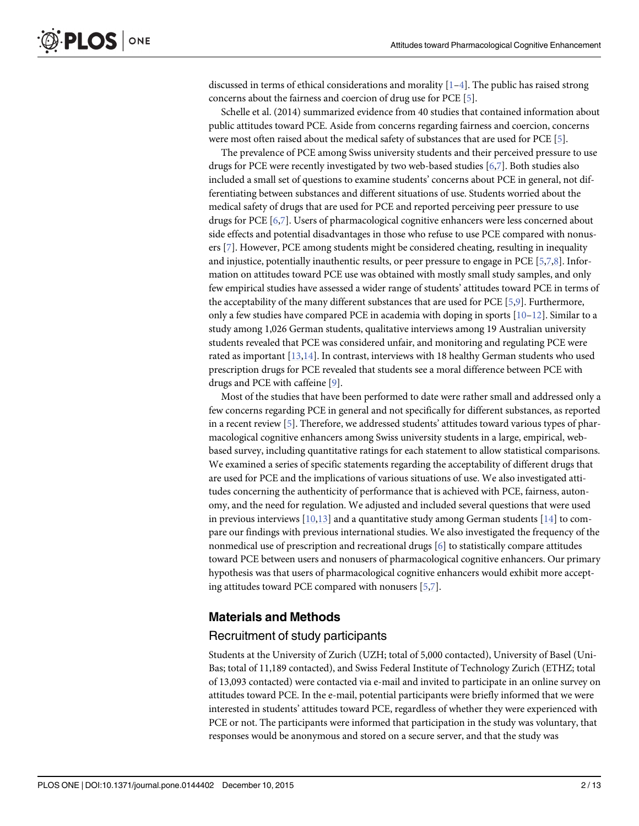discussed in terms of ethical considerations and morality  $[1-4]$ . The public has raised strong concerns about the fairness and coercion of drug use for PCE [5].

Schelle et al. (2014) summarized evidence from 40 studies that contained information about public attitudes toward PCE. Aside from concerns regarding fairness and coercion, concerns were most often raised about the medical safety of substances that are used for PCE [5].

The prevalence of PCE among Swiss university students and their perceived pressure to use drugs for PCE were recently investigated by two web-based studies [6,7]. Both studies also included a small set of questions to examine students' concerns about PCE in general, not differentiating between substances and different situations of use. Students worried about the medical safety of drugs that are used for PCE and reported perceiving peer pressure to use drugs for PCE [6,7]. Users of pharmacological cognitive enhancers were less concerned about side effects and potential disadvantages in those who refuse to use PCE compared with nonusers [7]. However, PCE among students might be considered cheating, resulting in inequality and injustice, potentially inauthentic results, or peer pressure to engage in PCE [5,7,8]. Information on attitudes toward PCE use was obtained with mostly small study samples, and only few empirical studies have assessed a wider range of students' attitudes toward PCE in terms of the acceptability of the many different substances that are used for PCE [5,9]. Furthermore, only a few studies have compared PCE in academia with doping in sports  $[10-12]$ . Similar to a study among 1,026 German students, qualitative interviews among 19 Australian university students revealed that PCE was considered unfair, and monitoring and regulating PCE were rated as important [13,14]. In contrast, interviews with 18 healthy German students who used prescription drugs for PCE revealed that students see a moral difference between PCE with drugs and PCE with caffeine [9].

Most of the studies that have been performed to date were rather small and addressed only a few concerns regarding PCE in general and not specifically for different substances, as reported in a recent review [5]. Therefore, we addressed students' attitudes toward various types of pharmacological cognitive enhancers among Swiss university students in a large, empirical, webbased survey, including quantitative ratings for each statement to allow statistical comparisons. We examined a series of specific statements regarding the acceptability of different drugs that are used for PCE and the implications of various situations of use. We also investigated attitudes concerning the authenticity of performance that is achieved with PCE, fairness, autonomy, and the need for regulation. We adjusted and included several questions that were used in previous interviews  $[10,13]$  and a quantitative study among German students  $[14]$  to compare our findings with previous international studies. We also investigated the frequency of the nonmedical use of prescription and recreational drugs  $[6]$  to statistically compare attitudes toward PCE between users and nonusers of pharmacological cognitive enhancers. Our primary hypothesis was that users of pharmacological cognitive enhancers would exhibit more accepting attitudes toward PCE compared with nonusers [5,7].

#### Materials and Methods

#### Recruitment of study participants

Students at the University of Zurich (UZH; total of 5,000 contacted), University of Basel (Uni-Bas; total of 11,189 contacted), and Swiss Federal Institute of Technology Zurich (ETHZ; total of 13,093 contacted) were contacted via e-mail and invited to participate in an online survey on attitudes toward PCE. In the e-mail, potential participants were briefly informed that we were interested in students' attitudes toward PCE, regardless of whether they were experienced with PCE or not. The participants were informed that participation in the study was voluntary, that responses would be anonymous and stored on a secure server, and that the study was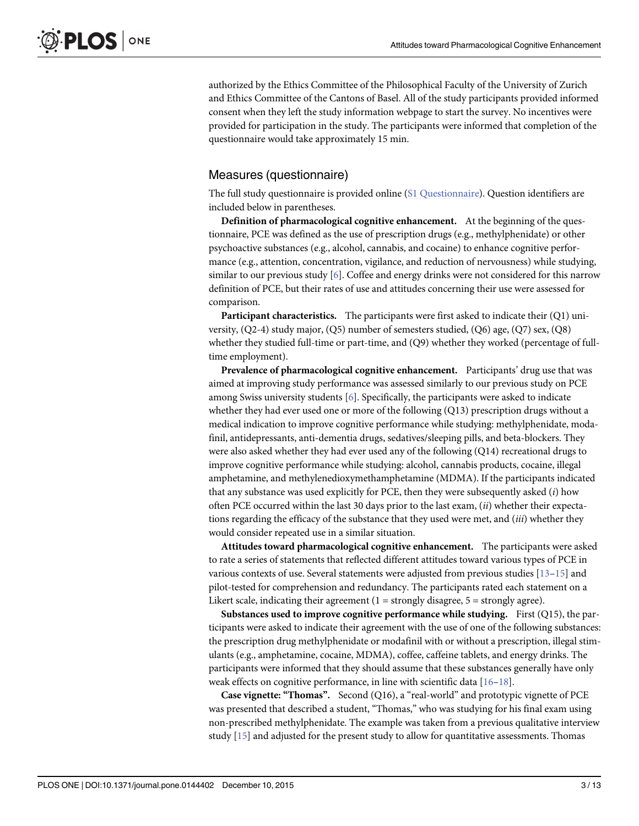authorized by the Ethics Committee of the Philosophical Faculty of the University of Zurich and Ethics Committee of the Cantons of Basel. All of the study participants provided informed consent when they left the study information webpage to start the survey. No incentives were provided for participation in the study. The participants were informed that completion of the questionnaire would take approximately 15 min.

## Measures (questionnaire)

The full study questionnaire is provided online (S1 Questionnaire). Question identifiers are included below in parentheses.

Definition of pharmacological cognitive enhancement. At the beginning of the questionnaire, PCE was defined as the use of prescription drugs (e.g., methylphenidate) or other psychoactive substances (e.g., alcohol, cannabis, and cocaine) to enhance cognitive performance (e.g., attention, concentration, vigilance, and reduction of nervousness) while studying, similar to our previous study [6]. Coffee and energy drinks were not considered for this narrow definition of PCE, but their rates of use and attitudes concerning their use were assessed for comparison.

**Participant characteristics.** The participants were first asked to indicate their  $(Q1)$  university, (Q2-4) study major, (Q5) number of semesters studied, (Q6) age, (Q7) sex, (Q8) whether they studied full-time or part-time, and (Q9) whether they worked (percentage of fulltime employment).

Prevalence of pharmacological cognitive enhancement. Participants' drug use that was aimed at improving study performance was assessed similarly to our previous study on PCE among Swiss university students [6]. Specifically, the participants were asked to indicate whether they had ever used one or more of the following (Q13) prescription drugs without a medical indication to improve cognitive performance while studying: methylphenidate, modafinil, antidepressants, anti-dementia drugs, sedatives/sleeping pills, and beta-blockers. They were also asked whether they had ever used any of the following (Q14) recreational drugs to improve cognitive performance while studying: alcohol, cannabis products, cocaine, illegal amphetamine, and methylenedioxymethamphetamine (MDMA). If the participants indicated that any substance was used explicitly for PCE, then they were subsequently asked  $(i)$  how often PCE occurred within the last 30 days prior to the last exam,  $(ii)$  whether their expectations regarding the efficacy of the substance that they used were met, and  $(iii)$  whether they would consider repeated use in a similar situation.

Attitudes toward pharmacological cognitive enhancement. The participants were asked to rate a series of statements that reflected different attitudes toward various types of PCE in various contexts of use. Several statements were adjusted from previous studies  $[13-15]$  and pilot-tested for comprehension and redundancy. The participants rated each statement on a Likert scale, indicating their agreement  $(1 =$  strongly disagree,  $5 =$  strongly agree).

Substances used to improve cognitive performance while studying. First  $(Q15)$ , the participants were asked to indicate their agreement with the use of one of the following substances: the prescription drug methylphenidate or modafinil with or without a prescription, illegal stimulants (e.g., amphetamine, cocaine, MDMA), coffee, caffeine tablets, and energy drinks. The participants were informed that they should assume that these substances generally have only weak effects on cognitive performance, in line with scientific data [16-18].

Case vignette: "Thomas". Second (Q16), a "real-world" and prototypic vignette of PCE was presented that described a student, "Thomas," who was studying for his final exam using non-prescribed methylphenidate. The example was taken from a previous qualitative interview study  $[15]$  and adjusted for the present study to allow for quantitative assessments. Thomas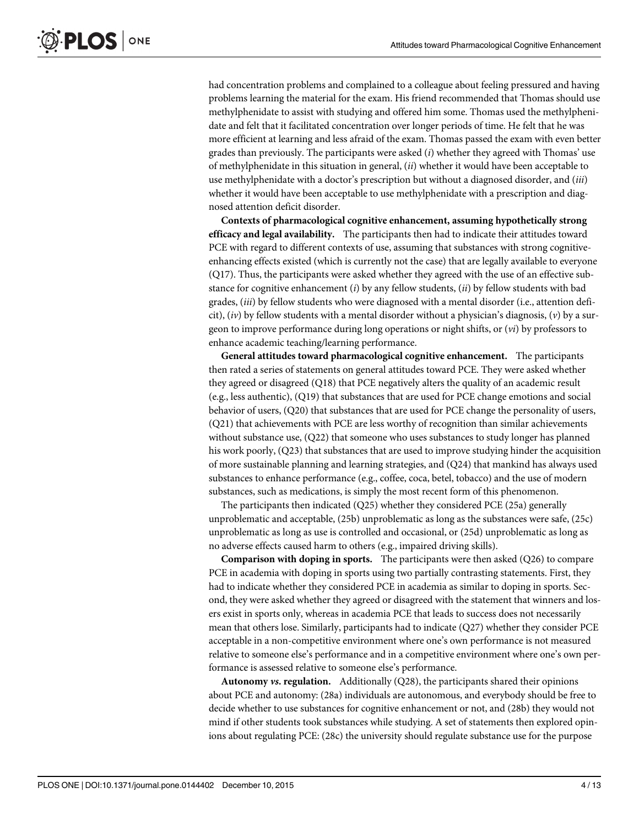had concentration problems and complained to a colleague about feeling pressured and having problems learning the material for the exam. His friend recommended that Thomas should use methylphenidate to assist with studying and offered him some. Thomas used the methylphenidate and felt that it facilitated concentration over longer periods of time. He felt that he was more efficient at learning and less afraid of the exam. Thomas passed the exam with even better grades than previously. The participants were asked  $(i)$  whether they agreed with Thomas' use of methylphenidate in this situation in general,  $(ii)$  whether it would have been acceptable to use methylphenidate with a doctor's prescription but without a diagnosed disorder, and (iii) whether it would have been acceptable to use methylphenidate with a prescription and diagnosed attention deficit disorder.

Contexts of pharmacological cognitive enhancement, assuming hypothetically strong efficacy and legal availability. The participants then had to indicate their attitudes toward PCE with regard to different contexts of use, assuming that substances with strong cognitiveenhancing effects existed (which is currently not the case) that are legally available to everyone (Q17). Thus, the participants were asked whether they agreed with the use of an effective substance for cognitive enhancement  $(i)$  by any fellow students,  $(ii)$  by fellow students with bad grades, (iii) by fellow students who were diagnosed with a mental disorder (i.e., attention deficit),  $(iv)$  by fellow students with a mental disorder without a physician's diagnosis,  $(v)$  by a surgeon to improve performance during long operations or night shifts, or  $(v_i)$  by professors to enhance academic teaching/learning performance.

General attitudes toward pharmacological cognitive enhancement. The participants then rated a series of statements on general attitudes toward PCE. They were asked whether they agreed or disagreed (Q18) that PCE negatively alters the quality of an academic result (e.g., less authentic), (Q19) that substances that are used for PCE change emotions and social behavior of users, (Q20) that substances that are used for PCE change the personality of users, (Q21) that achievements with PCE are less worthy of recognition than similar achievements without substance use, (Q22) that someone who uses substances to study longer has planned his work poorly, (Q23) that substances that are used to improve studying hinder the acquisition of more sustainable planning and learning strategies, and (Q24) that mankind has always used substances to enhance performance (e.g., coffee, coca, betel, tobacco) and the use of modern substances, such as medications, is simply the most recent form of this phenomenon.

The participants then indicated (Q25) whether they considered PCE (25a) generally unproblematic and acceptable, (25b) unproblematic as long as the substances were safe, (25c) unproblematic as long as use is controlled and occasional, or (25d) unproblematic as long as no adverse effects caused harm to others (e.g., impaired driving skills).

**Comparison with doping in sports.** The participants were then asked  $(Q26)$  to compare PCE in academia with doping in sports using two partially contrasting statements. First, they had to indicate whether they considered PCE in academia as similar to doping in sports. Second, they were asked whether they agreed or disagreed with the statement that winners and losers exist in sports only, whereas in academia PCE that leads to success does not necessarily mean that others lose. Similarly, participants had to indicate (Q27) whether they consider PCE acceptable in a non-competitive environment where one's own performance is not measured relative to someone else's performance and in a competitive environment where one's own performance is assessed relative to someone else's performance.

Autonomy vs. regulation. Additionally (Q28), the participants shared their opinions about PCE and autonomy: (28a) individuals are autonomous, and everybody should be free to decide whether to use substances for cognitive enhancement or not, and (28b) they would not mind if other students took substances while studying. A set of statements then explored opinions about regulating PCE: (28c) the university should regulate substance use for the purpose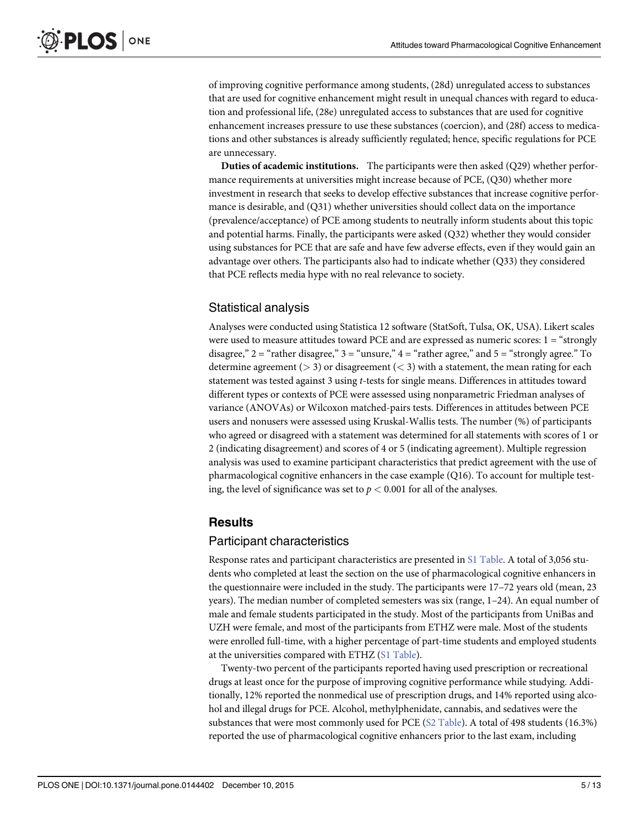of improving cognitive performance among students, (28d) unregulated access to substances that are used for cognitive enhancement might result in unequal chances with regard to education and professional life, (28e) unregulated access to substances that are used for cognitive enhancement increases pressure to use these substances (coercion), and (28f) access to medications and other substances is already sufficiently regulated; hence, specific regulations for PCE are unnecessary.

Duties of academic institutions. The participants were then asked (Q29) whether performance requirements at universities might increase because of PCE, (Q30) whether more investment in research that seeks to develop effective substances that increase cognitive performance is desirable, and (Q31) whether universities should collect data on the importance (prevalence/acceptance) of PCE among students to neutrally inform students about this topic and potential harms. Finally, the participants were asked (Q32) whether they would consider using substances for PCE that are safe and have few adverse effects, even if they would gain an advantage over others. The participants also had to indicate whether (Q33) they considered that PCE reflects media hype with no real relevance to society.

## Statistical analysis

Analyses were conducted using Statistica 12 software (StatSoft, Tulsa, OK, USA). Likert scales were used to measure attitudes toward PCE and are expressed as numeric scores: 1 = "strongly disagree,"  $2 =$  "rather disagree,"  $3 =$  "unsure,"  $4 =$  "rather agree," and  $5 =$  "strongly agree." To determine agreement ( $>$  3) or disagreement ( $<$  3) with a statement, the mean rating for each statement was tested against 3 using t-tests for single means. Differences in attitudes toward different types or contexts of PCE were assessed using nonparametric Friedman analyses of variance (ANOVAs) or Wilcoxon matched-pairs tests. Differences in attitudes between PCE users and nonusers were assessed using Kruskal-Wallis tests. The number (%) of participants who agreed or disagreed with a statement was determined for all statements with scores of 1 or 2 (indicating disagreement) and scores of 4 or 5 (indicating agreement). Multiple regression analysis was used to examine participant characteristics that predict agreement with the use of pharmacological cognitive enhancers in the case example (Q16). To account for multiple testing, the level of significance was set to  $p < 0.001$  for all of the analyses.

#### **Results**

#### Participant characteristics

Response rates and participant characteristics are presented in S1 Table. A total of 3,056 students who completed at least the section on the use of pharmacological cognitive enhancers in the questionnaire were included in the study. The participants were 17–72 years old (mean, 23 years). The median number of completed semesters was six (range, 1–24). An equal number of male and female students participated in the study. Most of the participants from UniBas and UZH were female, and most of the participants from ETHZ were male. Most of the students were enrolled full-time, with a higher percentage of part-time students and employed students at the universities compared with ETHZ (S1 Table).

Twenty-two percent of the participants reported having used prescription or recreational drugs at least once for the purpose of improving cognitive performance while studying. Additionally, 12% reported the nonmedical use of prescription drugs, and 14% reported using alcohol and illegal drugs for PCE. Alcohol, methylphenidate, cannabis, and sedatives were the substances that were most commonly used for PCE  $(S2 \text{ Table})$ . A total of 498 students (16.3%) reported the use of pharmacological cognitive enhancers prior to the last exam, including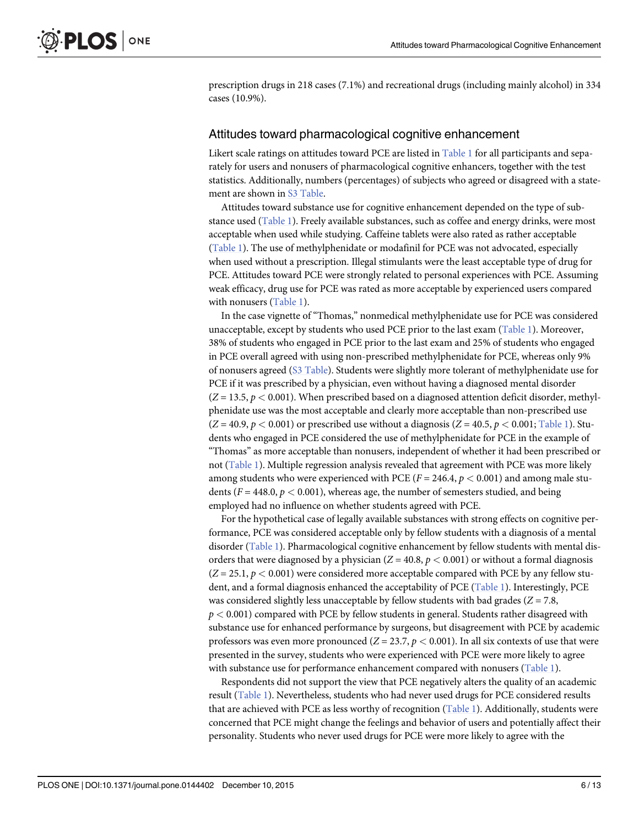prescription drugs in 218 cases (7.1%) and recreational drugs (including mainly alcohol) in 334 cases (10.9%).

#### Attitudes toward pharmacological cognitive enhancement

Likert scale ratings on attitudes toward PCE are listed in  $Table 1$  for all participants and separately for users and nonusers of pharmacological cognitive enhancers, together with the test statistics. Additionally, numbers (percentages) of subjects who agreed or disagreed with a statement are shown in S3 Table.

Attitudes toward substance use for cognitive enhancement depended on the type of substance used (Table 1). Freely available substances, such as coffee and energy drinks, were most acceptable when used while studying. Caffeine tablets were also rated as rather acceptable (Table 1). The use of methylphenidate or modafinil for PCE was not advocated, especially when used without a prescription. Illegal stimulants were the least acceptable type of drug for PCE. Attitudes toward PCE were strongly related to personal experiences with PCE. Assuming weak efficacy, drug use for PCE was rated as more acceptable by experienced users compared with nonusers (Table 1).

In the case vignette of "Thomas," nonmedical methylphenidate use for PCE was considered unacceptable, except by students who used PCE prior to the last exam (Table 1). Moreover, 38% of students who engaged in PCE prior to the last exam and 25% of students who engaged in PCE overall agreed with using non-prescribed methylphenidate for PCE, whereas only 9% of nonusers agreed (S3 Table). Students were slightly more tolerant of methylphenidate use for PCE if it was prescribed by a physician, even without having a diagnosed mental disorder  $(Z = 13.5, p < 0.001)$ . When prescribed based on a diagnosed attention deficit disorder, methylphenidate use was the most acceptable and clearly more acceptable than non-prescribed use  $(Z = 40.9, p < 0.001)$  or prescribed use without a diagnosis  $(Z = 40.5, p < 0.001;$  Table 1). Students who engaged in PCE considered the use of methylphenidate for PCE in the example of "Thomas" as more acceptable than nonusers, independent of whether it had been prescribed or not (Table 1). Multiple regression analysis revealed that agreement with PCE was more likely among students who were experienced with PCE ( $F = 246.4$ ,  $p < 0.001$ ) and among male students ( $F = 448.0, p < 0.001$ ), whereas age, the number of semesters studied, and being employed had no influence on whether students agreed with PCE.

For the hypothetical case of legally available substances with strong effects on cognitive performance, PCE was considered acceptable only by fellow students with a diagnosis of a mental disorder (Table 1). Pharmacological cognitive enhancement by fellow students with mental disorders that were diagnosed by a physician  $(Z = 40.8, p < 0.001)$  or without a formal diagnosis  $(Z = 25.1, p < 0.001)$  were considered more acceptable compared with PCE by any fellow student, and a formal diagnosis enhanced the acceptability of PCE (Table 1). Interestingly, PCE was considered slightly less unacceptable by fellow students with bad grades ( $Z = 7.8$ ,  $p < 0.001$ ) compared with PCE by fellow students in general. Students rather disagreed with substance use for enhanced performance by surgeons, but disagreement with PCE by academic professors was even more pronounced  $(Z = 23.7, p < 0.001)$ . In all six contexts of use that were presented in the survey, students who were experienced with PCE were more likely to agree with substance use for performance enhancement compared with nonusers (Table 1).

Respondents did not support the view that PCE negatively alters the quality of an academic result (Table 1). Nevertheless, students who had never used drugs for PCE considered results that are achieved with PCE as less worthy of recognition (Table 1). Additionally, students were concerned that PCE might change the feelings and behavior of users and potentially affect their personality. Students who never used drugs for PCE were more likely to agree with the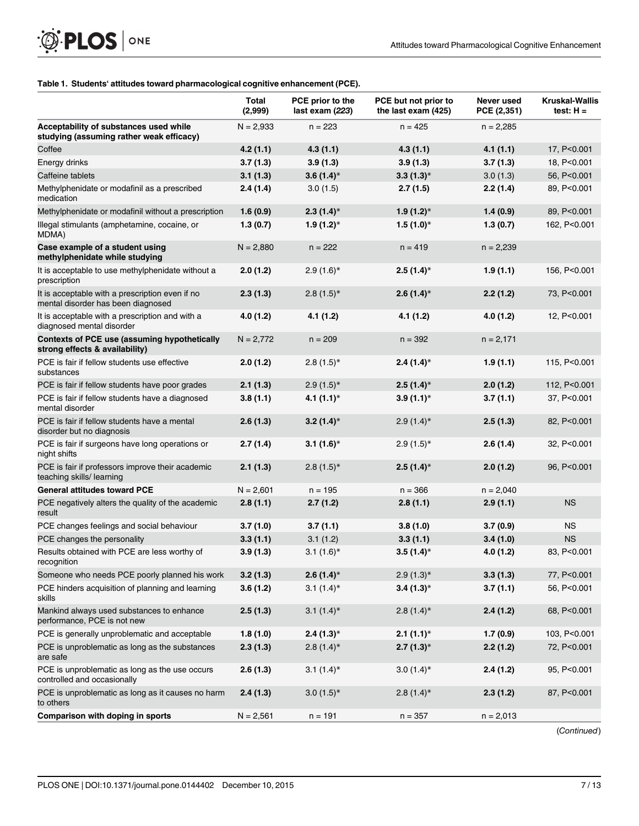#### Table 1. Students' attitudes toward pharmacological cognitive enhancement (PCE).

|                                                                                       | Total<br>(2,999) | PCE prior to the<br>last exam (223) | PCE but not prior to<br>the last exam (425) | Never used<br>PCE (2,351) | <b>Kruskal-Wallis</b><br>test: $H =$ |
|---------------------------------------------------------------------------------------|------------------|-------------------------------------|---------------------------------------------|---------------------------|--------------------------------------|
| Acceptability of substances used while<br>studying (assuming rather weak efficacy)    | $N = 2,933$      | $n = 223$                           | $n = 425$                                   | $n = 2,285$               |                                      |
| Coffee                                                                                | 4.2(1.1)         | 4.3(1.1)                            | 4.3(1.1)                                    | 4.1(1.1)                  | 17, P<0.001                          |
| Energy drinks                                                                         | 3.7(1.3)         | 3.9(1.3)                            | 3.9(1.3)                                    | 3.7(1.3)                  | 18, P<0.001                          |
| Caffeine tablets                                                                      | 3.1(1.3)         | $3.6(1.4)$ *                        | $3.3(1.3)*$                                 | 3.0(1.3)                  | 56, P<0.001                          |
| Methylphenidate or modafinil as a prescribed<br>medication                            | 2.4(1.4)         | 3.0(1.5)                            | 2.7(1.5)                                    | 2.2(1.4)                  | 89, P<0.001                          |
| Methylphenidate or modafinil without a prescription                                   | 1.6(0.9)         | $2.3(1.4)$ *                        | $1.9(1.2)$ *                                | 1.4(0.9)                  | 89, P<0.001                          |
| Illegal stimulants (amphetamine, cocaine, or<br>MDMA)                                 | 1.3(0.7)         | $1.9(1.2)$ *                        | $1.5(1.0)*$                                 | 1.3(0.7)                  | 162, P<0.001                         |
| Case example of a student using<br>methylphenidate while studying                     | $N = 2,880$      | $n = 222$                           | $n = 419$                                   | $n = 2,239$               |                                      |
| It is acceptable to use methylphenidate without a<br>prescription                     | 2.0(1.2)         | $2.9(1.6)$ *                        | $2.5(1.4)$ *                                | 1.9(1.1)                  | 156, P<0.001                         |
| It is acceptable with a prescription even if no<br>mental disorder has been diagnosed | 2.3(1.3)         | $2.8(1.5)$ *                        | $2.6(1.4)$ *                                | 2.2(1.2)                  | 73, P<0.001                          |
| It is acceptable with a prescription and with a<br>diagnosed mental disorder          | 4.0(1.2)         | 4.1(1.2)                            | 4.1(1.2)                                    | 4.0(1.2)                  | 12, P<0.001                          |
| Contexts of PCE use (assuming hypothetically<br>strong effects & availability)        | $N = 2,772$      | $n = 209$                           | $n = 392$                                   | $n = 2,171$               |                                      |
| PCE is fair if fellow students use effective<br>substances                            | 2.0(1.2)         | $2.8(1.5)$ *                        | $2.4(1.4)$ *                                | 1.9(1.1)                  | 115, P<0.001                         |
| PCE is fair if fellow students have poor grades                                       | 2.1(1.3)         | $2.9(1.5)$ *                        | $2.5(1.4)$ *                                | 2.0(1.2)                  | 112, P<0.001                         |
| PCE is fair if fellow students have a diagnosed<br>mental disorder                    | 3.8(1.1)         | $4.1(1.1)^*$                        | $3.9(1.1)$ *                                | 3.7(1.1)                  | 37, P<0.001                          |
| PCE is fair if fellow students have a mental<br>disorder but no diagnosis             | 2.6(1.3)         | $3.2(1.4)$ *                        | $2.9(1.4)$ *                                | 2.5(1.3)                  | 82, P<0.001                          |
| PCE is fair if surgeons have long operations or<br>night shifts                       | 2.7(1.4)         | 3.1 $(1.6)^*$                       | $2.9(1.5)$ *                                | 2.6(1.4)                  | 32, P<0.001                          |
| PCE is fair if professors improve their academic<br>teaching skills/ learning         | 2.1(1.3)         | $2.8(1.5)$ *                        | $2.5(1.4)$ *                                | 2.0(1.2)                  | 96, P<0.001                          |
| <b>General attitudes toward PCE</b>                                                   | $N = 2,601$      | $n = 195$                           | $n = 366$                                   | $n = 2,040$               |                                      |
| PCE negatively alters the quality of the academic<br>result                           | 2.8(1.1)         | 2.7(1.2)                            | 2.8(1.1)                                    | 2.9(1.1)                  | <b>NS</b>                            |
| PCE changes feelings and social behaviour                                             | 3.7(1.0)         | 3.7(1.1)                            | 3.8(1.0)                                    | 3.7(0.9)                  | <b>NS</b>                            |
| PCE changes the personality                                                           | 3.3(1.1)         | 3.1(1.2)                            | 3.3(1.1)                                    | 3.4(1.0)                  | <b>NS</b>                            |
| Results obtained with PCE are less worthy of<br>recognition                           | 3.9(1.3)         | $3.1(1.6)$ *                        | $3.5(1.4)$ *                                | 4.0(1.2)                  | 83, P<0.001                          |
| Someone who needs PCE poorly planned his work                                         | 3.2(1.3)         | $2.6(1.4)$ *                        | $2.9(1.3)$ *                                | 3.3(1.3)                  | 77, P<0.001                          |
| PCE hinders acquisition of planning and learning<br>skills                            | 3.6(1.2)         | $3.1(1.4)$ *                        | $3.4(1.3)$ *                                | 3.7(1.1)                  | 56, P<0.001                          |
| Mankind always used substances to enhance<br>performance, PCE is not new              | 2.5(1.3)         | 3.1 $(1.4)^*$                       | $2.8(1.4)$ *                                | 2.4(1.2)                  | 68, P<0.001                          |
| PCE is generally unproblematic and acceptable                                         | 1.8(1.0)         | $2.4(1.3)*$                         | $2.1(1.1)^*$                                | 1.7(0.9)                  | 103, P<0.001                         |
| PCE is unproblematic as long as the substances<br>are safe                            | 2.3(1.3)         | $2.8(1.4)$ *                        | $2.7(1.3)*$                                 | 2.2(1.2)                  | 72, P<0.001                          |
| PCE is unproblematic as long as the use occurs<br>controlled and occasionally         | 2.6(1.3)         | $3.1(1.4)$ *                        | $3.0(1.4)$ *                                | 2.4(1.2)                  | 95, P<0.001                          |
| PCE is unproblematic as long as it causes no harm<br>to others                        | 2.4(1.3)         | $3.0(1.5)$ *                        | $2.8(1.4)$ *                                | 2.3(1.2)                  | 87, P<0.001                          |
| Comparison with doping in sports                                                      | $N = 2,561$      | $n = 191$                           | $n = 357$                                   | $n = 2,013$               |                                      |

(Continued)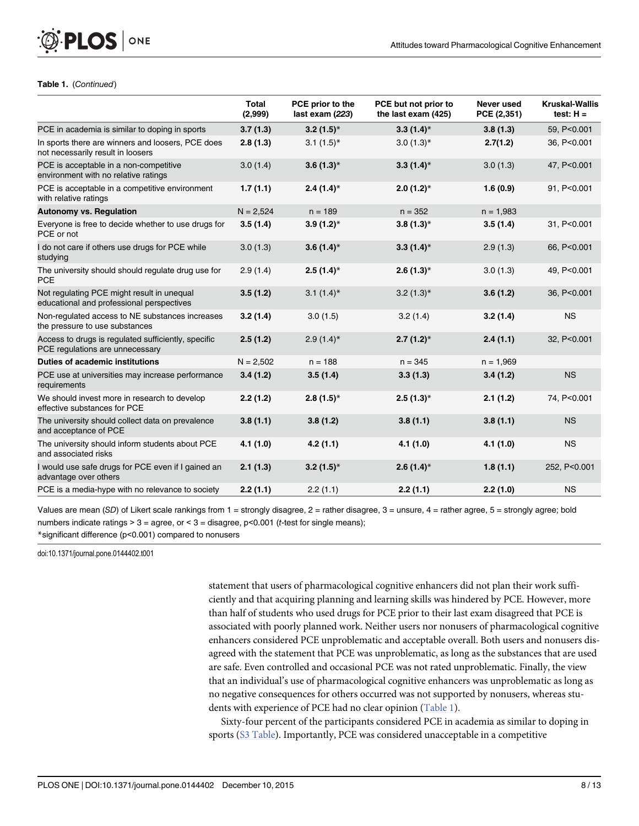#### Table 1. (Continued)

**PLOS I** 

ONE

|                                                                                         | <b>Total</b><br>(2,999) | PCE prior to the<br>last exam (223) | PCE but not prior to<br>the last exam (425) | Never used<br>PCE (2,351) | <b>Kruskal-Wallis</b><br>test: $H =$ |
|-----------------------------------------------------------------------------------------|-------------------------|-------------------------------------|---------------------------------------------|---------------------------|--------------------------------------|
| PCE in academia is similar to doping in sports                                          | 3.7(1.3)                | $3.2(1.5)$ *                        | $3.3(1.4)$ *                                | 3.8(1.3)                  | 59, P<0.001                          |
| In sports there are winners and loosers, PCE does<br>not necessarily result in loosers  | 2.8(1.3)                | $3.1(1.5)^*$                        | $3.0(1.3)$ *                                | 2.7(1.2)                  | 36, P<0.001                          |
| PCE is acceptable in a non-competitive<br>environment with no relative ratings          | 3.0(1.4)                | $3.6(1.3)$ *                        | $3.3(1.4)$ *                                | 3.0(1.3)                  | 47, P<0.001                          |
| PCE is acceptable in a competitive environment<br>with relative ratings                 | 1.7(1.1)                | $2.4(1.4)$ *                        | $2.0(1.2)$ <sup>*</sup>                     | 1.6(0.9)                  | 91, P<0.001                          |
| <b>Autonomy vs. Regulation</b>                                                          | $N = 2,524$             | $n = 189$                           | $n = 352$                                   | $n = 1,983$               |                                      |
| Everyone is free to decide whether to use drugs for<br>PCE or not                       | 3.5(1.4)                | $3.9(1.2)$ *                        | $3.8(1.3)*$                                 | 3.5(1.4)                  | 31, P<0.001                          |
| I do not care if others use drugs for PCE while<br>studying                             | 3.0(1.3)                | $3.6(1.4)$ *                        | $3.3(1.4)$ *                                | 2.9(1.3)                  | 66, P<0.001                          |
| The university should should regulate drug use for<br><b>PCE</b>                        | 2.9(1.4)                | $2.5(1.4)$ *                        | $2.6(1.3)$ *                                | 3.0(1.3)                  | 49, P<0.001                          |
| Not regulating PCE might result in unequal<br>educational and professional perspectives | 3.5(1.2)                | 3.1 $(1.4)^*$                       | $3.2(1.3)*$                                 | 3.6(1.2)                  | 36, P<0.001                          |
| Non-regulated access to NE substances increases<br>the pressure to use substances       | 3.2(1.4)                | 3.0(1.5)                            | 3.2(1.4)                                    | 3.2(1.4)                  | <b>NS</b>                            |
| Access to drugs is regulated sufficiently, specific<br>PCE regulations are unnecessary  | 2.5(1.2)                | $2.9(1.4)$ *                        | $2.7(1.2)$ *                                | 2.4(1.1)                  | 32, P<0.001                          |
| Duties of academic institutions                                                         | $N = 2,502$             | $n = 188$                           | $n = 345$                                   | $n = 1,969$               |                                      |
| PCE use at universities may increase performance<br>requirements                        | 3.4(1.2)                | 3.5(1.4)                            | 3.3(1.3)                                    | 3.4(1.2)                  | <b>NS</b>                            |
| We should invest more in research to develop<br>effective substances for PCE            | 2.2(1.2)                | $2.8(1.5)*$                         | $2.5(1.3)*$                                 | 2.1(1.2)                  | 74, P<0.001                          |
| The university should collect data on prevalence<br>and acceptance of PCE               | 3.8(1.1)                | 3.8(1.2)                            | 3.8(1.1)                                    | 3.8(1.1)                  | <b>NS</b>                            |
| The university should inform students about PCE<br>and associated risks                 | 4.1(1.0)                | 4.2(1.1)                            | 4.1(1.0)                                    | 4.1(1.0)                  | <b>NS</b>                            |
| I would use safe drugs for PCE even if I gained an<br>advantage over others             | 2.1(1.3)                | $3.2(1.5)^*$                        | $2.6(1.4)$ *                                | 1.8(1.1)                  | 252, P<0.001                         |
| PCE is a media-hype with no relevance to society                                        | 2.2(1.1)                | 2.2(1.1)                            | 2.2(1.1)                                    | 2.2(1.0)                  | <b>NS</b>                            |

Values are mean (SD) of Likert scale rankings from 1 = strongly disagree, 2 = rather disagree, 3 = unsure, 4 = rather agree, 5 = strongly agree; bold numbers indicate ratings > 3 = agree, or < 3 = disagree,  $p$ <0.001 (*t*-test for single means); \*significant difference (p<0.001) compared to nonusers

doi:10.1371/journal.pone.0144402.t001

statement that users of pharmacological cognitive enhancers did not plan their work sufficiently and that acquiring planning and learning skills was hindered by PCE. However, more than half of students who used drugs for PCE prior to their last exam disagreed that PCE is associated with poorly planned work. Neither users nor nonusers of pharmacological cognitive enhancers considered PCE unproblematic and acceptable overall. Both users and nonusers disagreed with the statement that PCE was unproblematic, as long as the substances that are used are safe. Even controlled and occasional PCE was not rated unproblematic. Finally, the view that an individual's use of pharmacological cognitive enhancers was unproblematic as long as no negative consequences for others occurred was not supported by nonusers, whereas students with experience of PCE had no clear opinion (Table 1).

Sixty-four percent of the participants considered PCE in academia as similar to doping in sports (S3 Table). Importantly, PCE was considered unacceptable in a competitive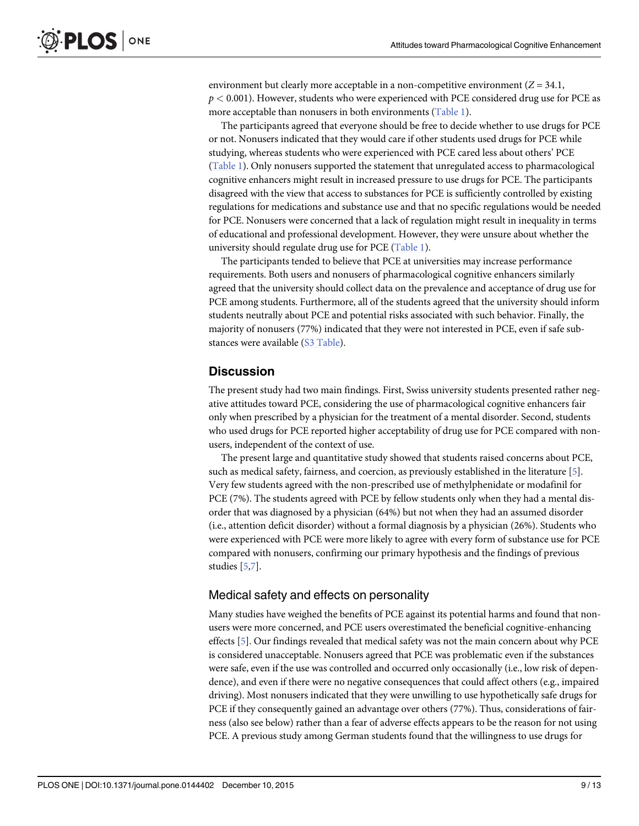environment but clearly more acceptable in a non-competitive environment  $(Z = 34.1$ ,  $p < 0.001$ ). However, students who were experienced with PCE considered drug use for PCE as more acceptable than nonusers in both environments (Table 1).

The participants agreed that everyone should be free to decide whether to use drugs for PCE or not. Nonusers indicated that they would care if other students used drugs for PCE while studying, whereas students who were experienced with PCE cared less about others' PCE (Table 1). Only nonusers supported the statement that unregulated access to pharmacological cognitive enhancers might result in increased pressure to use drugs for PCE. The participants disagreed with the view that access to substances for PCE is sufficiently controlled by existing regulations for medications and substance use and that no specific regulations would be needed for PCE. Nonusers were concerned that a lack of regulation might result in inequality in terms of educational and professional development. However, they were unsure about whether the university should regulate drug use for PCE (Table 1).

The participants tended to believe that PCE at universities may increase performance requirements. Both users and nonusers of pharmacological cognitive enhancers similarly agreed that the university should collect data on the prevalence and acceptance of drug use for PCE among students. Furthermore, all of the students agreed that the university should inform students neutrally about PCE and potential risks associated with such behavior. Finally, the majority of nonusers (77%) indicated that they were not interested in PCE, even if safe substances were available (S3 Table).

#### **Discussion**

The present study had two main findings. First, Swiss university students presented rather negative attitudes toward PCE, considering the use of pharmacological cognitive enhancers fair only when prescribed by a physician for the treatment of a mental disorder. Second, students who used drugs for PCE reported higher acceptability of drug use for PCE compared with nonusers, independent of the context of use.

The present large and quantitative study showed that students raised concerns about PCE, such as medical safety, fairness, and coercion, as previously established in the literature [5]. Very few students agreed with the non-prescribed use of methylphenidate or modafinil for PCE (7%). The students agreed with PCE by fellow students only when they had a mental disorder that was diagnosed by a physician (64%) but not when they had an assumed disorder (i.e., attention deficit disorder) without a formal diagnosis by a physician (26%). Students who were experienced with PCE were more likely to agree with every form of substance use for PCE compared with nonusers, confirming our primary hypothesis and the findings of previous studies [5,7].

#### Medical safety and effects on personality

Many studies have weighed the benefits of PCE against its potential harms and found that nonusers were more concerned, and PCE users overestimated the beneficial cognitive-enhancing effects [5]. Our findings revealed that medical safety was not the main concern about why PCE is considered unacceptable. Nonusers agreed that PCE was problematic even if the substances were safe, even if the use was controlled and occurred only occasionally (i.e., low risk of dependence), and even if there were no negative consequences that could affect others (e.g., impaired driving). Most nonusers indicated that they were unwilling to use hypothetically safe drugs for PCE if they consequently gained an advantage over others (77%). Thus, considerations of fairness (also see below) rather than a fear of adverse effects appears to be the reason for not using PCE. A previous study among German students found that the willingness to use drugs for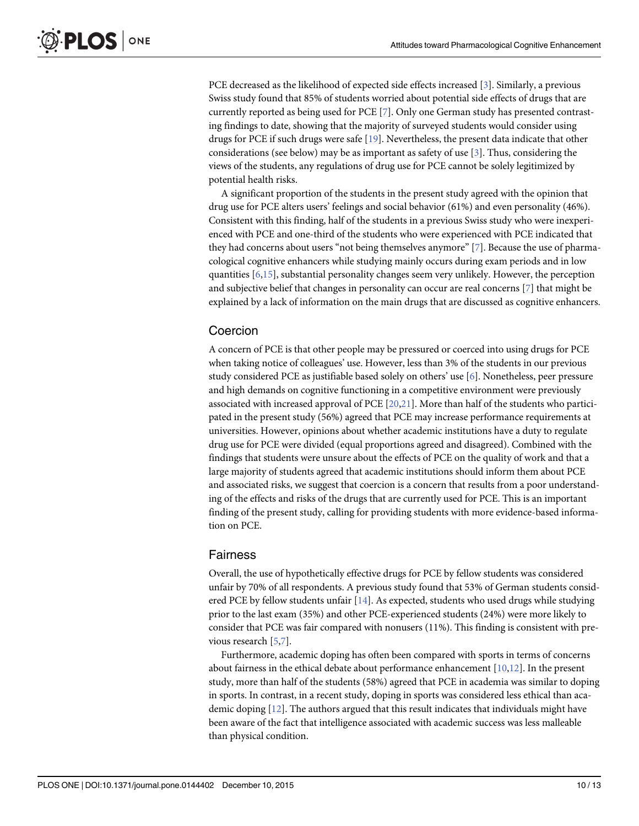PCE decreased as the likelihood of expected side effects increased [3]. Similarly, a previous Swiss study found that 85% of students worried about potential side effects of drugs that are currently reported as being used for PCE [7]. Only one German study has presented contrasting findings to date, showing that the majority of surveyed students would consider using drugs for PCE if such drugs were safe [19]. Nevertheless, the present data indicate that other considerations (see below) may be as important as safety of use  $[3]$ . Thus, considering the views of the students, any regulations of drug use for PCE cannot be solely legitimized by potential health risks.

A significant proportion of the students in the present study agreed with the opinion that drug use for PCE alters users' feelings and social behavior (61%) and even personality (46%). Consistent with this finding, half of the students in a previous Swiss study who were inexperienced with PCE and one-third of the students who were experienced with PCE indicated that they had concerns about users "not being themselves anymore" [7]. Because the use of pharmacological cognitive enhancers while studying mainly occurs during exam periods and in low quantities  $[6,15]$ , substantial personality changes seem very unlikely. However, the perception and subjective belief that changes in personality can occur are real concerns [7] that might be explained by a lack of information on the main drugs that are discussed as cognitive enhancers.

## Coercion

A concern of PCE is that other people may be pressured or coerced into using drugs for PCE when taking notice of colleagues' use. However, less than 3% of the students in our previous study considered PCE as justifiable based solely on others' use [6]. Nonetheless, peer pressure and high demands on cognitive functioning in a competitive environment were previously associated with increased approval of PCE  $[20,21]$  $[20,21]$  $[20,21]$ . More than half of the students who participated in the present study (56%) agreed that PCE may increase performance requirements at universities. However, opinions about whether academic institutions have a duty to regulate drug use for PCE were divided (equal proportions agreed and disagreed). Combined with the findings that students were unsure about the effects of PCE on the quality of work and that a large majority of students agreed that academic institutions should inform them about PCE and associated risks, we suggest that coercion is a concern that results from a poor understanding of the effects and risks of the drugs that are currently used for PCE. This is an important finding of the present study, calling for providing students with more evidence-based information on PCE.

## Fairness

Overall, the use of hypothetically effective drugs for PCE by fellow students was considered unfair by 70% of all respondents. A previous study found that 53% of German students considered PCE by fellow students unfair [14]. As expected, students who used drugs while studying prior to the last exam (35%) and other PCE-experienced students (24%) were more likely to consider that PCE was fair compared with nonusers (11%). This finding is consistent with previous research [5,7].

Furthermore, academic doping has often been compared with sports in terms of concerns about fairness in the ethical debate about performance enhancement  $[10,12]$ . In the present study, more than half of the students (58%) agreed that PCE in academia was similar to doping in sports. In contrast, in a recent study, doping in sports was considered less ethical than academic doping [12]. The authors argued that this result indicates that individuals might have been aware of the fact that intelligence associated with academic success was less malleable than physical condition.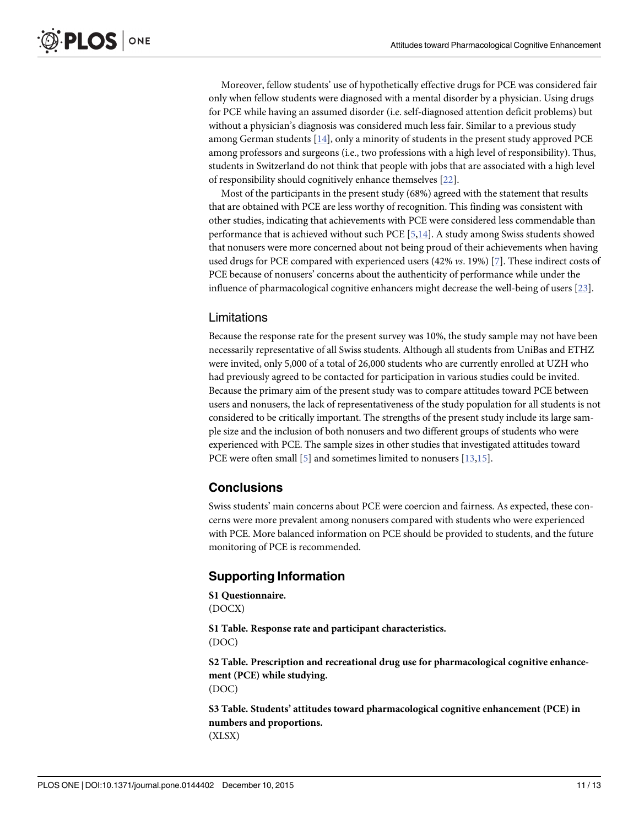<span id="page-10-0"></span>Moreover, fellow students' use of hypothetically effective drugs for PCE was considered fair only when fellow students were diagnosed with a mental disorder by a physician. Using drugs for PCE while having an assumed disorder (i.e. self-diagnosed attention deficit problems) but without a physician's diagnosis was considered much less fair. Similar to a previous study among German students [14], only a minority of students in the present study approved PCE among professors and surgeons (i.e., two professions with a high level of responsibility). Thus, students in Switzerland do not think that people with jobs that are associated with a high level of responsibility should cognitively enhance themselves [[22](#page-12-0)].

Most of the participants in the present study (68%) agreed with the statement that results that are obtained with PCE are less worthy of recognition. This finding was consistent with other studies, indicating that achievements with PCE were considered less commendable than performance that is achieved without such PCE  $[5,14]$ . A study among Swiss students showed that nonusers were more concerned about not being proud of their achievements when having used drugs for PCE compared with experienced users (42% vs. 19%) [7]. These indirect costs of PCE because of nonusers' concerns about the authenticity of performance while under the influence of pharmacological cognitive enhancers might decrease the well-being of users [23].

## Limitations

Because the response rate for the present survey was 10%, the study sample may not have been necessarily representative of all Swiss students. Although all students from UniBas and ETHZ were invited, only 5,000 of a total of 26,000 students who are currently enrolled at UZH who had previously agreed to be contacted for participation in various studies could be invited. Because the primary aim of the present study was to compare attitudes toward PCE between users and nonusers, the lack of representativeness of the study population for all students is not considered to be critically important. The strengths of the present study include its large sample size and the inclusion of both nonusers and two different groups of students who were experienced with PCE. The sample sizes in other studies that investigated attitudes toward PCE were often small [5] and sometimes limited to nonusers [13,15].

## **Conclusions**

Swiss students' main concerns about PCE were coercion and fairness. As expected, these concerns were more prevalent among nonusers compared with students who were experienced with PCE. More balanced information on PCE should be provided to students, and the future monitoring of PCE is recommended.

## Supporting Information

[S1 Questionnaire.](http://www.plosone.org/article/fetchSingleRepresentation.action?uri=info:doi/10.1371/journal.pone.0144402.s001) (DOCX)

[S1 Table](http://www.plosone.org/article/fetchSingleRepresentation.action?uri=info:doi/10.1371/journal.pone.0144402.s002). Response rate and participant characteristics. (DOC)

[S2 Table](http://www.plosone.org/article/fetchSingleRepresentation.action?uri=info:doi/10.1371/journal.pone.0144402.s003). Prescription and recreational drug use for pharmacological cognitive enhancement (PCE) while studying. (DOC)

[S3 Table](http://www.plosone.org/article/fetchSingleRepresentation.action?uri=info:doi/10.1371/journal.pone.0144402.s004). Students' attitudes toward pharmacological cognitive enhancement (PCE) in numbers and proportions. (XLSX)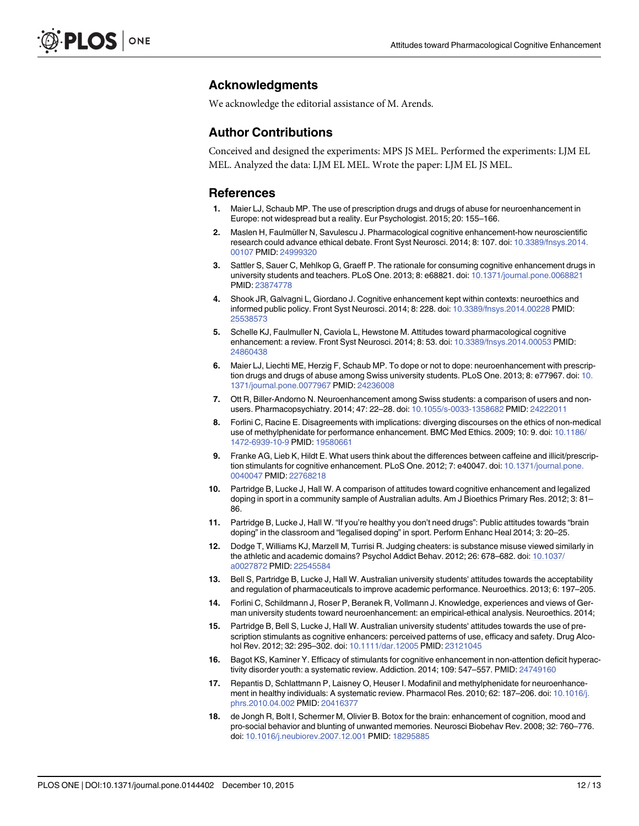#### Acknowledgments

We acknowledge the editorial assistance of M. Arends.

#### Author Contributions

Conceived and designed the experiments: MPS JS MEL. Performed the experiments: LJM EL MEL. Analyzed the data: LJM EL MEL. Wrote the paper: LJM EL JS MEL.

#### References

- Maier LJ, Schaub MP. The use of prescription drugs and drugs of abuse for neuroenhancement in Europe: not widespread but a reality. Eur Psychologist. 2015; 20: 155–166.
- 2. Maslen H, Faulmüller N, Savulescu J. Pharmacological cognitive enhancement-how neuroscientific research could advance ethical debate. Front Syst Neurosci. 2014; 8: 107. doi: [10.3389/fnsys.2014.](http://dx.doi.org/10.3389/fnsys.2014.00107) [00107](http://dx.doi.org/10.3389/fnsys.2014.00107) PMID: [24999320](http://www.ncbi.nlm.nih.gov/pubmed/24999320)
- 3. Sattler S, Sauer C, Mehlkop G, Graeff P. The rationale for consuming cognitive enhancement drugs in university students and teachers. PLoS One. 2013; 8: e68821. doi: [10.1371/journal.pone.0068821](http://dx.doi.org/10.1371/journal.pone.0068821) PMID: [23874778](http://www.ncbi.nlm.nih.gov/pubmed/23874778)
- 4. Shook JR, Galvagni L, Giordano J. Cognitive enhancement kept within contexts: neuroethics and informed public policy. Front Syst Neurosci. 2014; 8: 228. doi: [10.3389/fnsys.2014.00228](http://dx.doi.org/10.3389/fnsys.2014.00228) PMID: [25538573](http://www.ncbi.nlm.nih.gov/pubmed/25538573)
- 5. Schelle KJ, Faulmuller N, Caviola L, Hewstone M. Attitudes toward pharmacological cognitive enhancement: a review. Front Syst Neurosci. 2014; 8: 53. doi: [10.3389/fnsys.2014.00053](http://dx.doi.org/10.3389/fnsys.2014.00053) PMID: [24860438](http://www.ncbi.nlm.nih.gov/pubmed/24860438)
- 6. Maier LJ, Liechti ME, Herzig F, Schaub MP. To dope or not to dope: neuroenhancement with prescrip-tion drugs and drugs of abuse among Swiss university students. PLoS One. 2013; 8: e77967. doi: [10.](http://dx.doi.org/10.1371/journal.pone.0077967) [1371/journal.pone.0077967](http://dx.doi.org/10.1371/journal.pone.0077967) PMID: [24236008](http://www.ncbi.nlm.nih.gov/pubmed/24236008)
- 7. Ott R, Biller-Andorno N. Neuroenhancement among Swiss students: a comparison of users and nonusers. Pharmacopsychiatry. 2014; 47: 22–28. doi: [10.1055/s-0033-1358682](http://dx.doi.org/10.1055/s-0033-1358682) PMID: [24222011](http://www.ncbi.nlm.nih.gov/pubmed/24222011)
- 8. Forlini C, Racine E. Disagreements with implications: diverging discourses on the ethics of non-medical use of methylphenidate for performance enhancement. BMC Med Ethics. 2009; 10: 9. doi: [10.1186/](http://dx.doi.org/10.1186/1472-6939-10-9) [1472-6939-10-9](http://dx.doi.org/10.1186/1472-6939-10-9) PMID: [19580661](http://www.ncbi.nlm.nih.gov/pubmed/19580661)
- 9. Franke AG, Lieb K, Hildt E. What users think about the differences between caffeine and illicit/prescrip-tion stimulants for cognitive enhancement. PLoS One. 2012; 7: e40047. doi: [10.1371/journal.pone.](http://dx.doi.org/10.1371/journal.pone.0040047) [0040047](http://dx.doi.org/10.1371/journal.pone.0040047) PMID: [22768218](http://www.ncbi.nlm.nih.gov/pubmed/22768218)
- 10. Partridge B, Lucke J, Hall W. A comparison of attitudes toward cognitive enhancement and legalized doping in sport in a community sample of Australian adults. Am J Bioethics Primary Res. 2012; 3: 81– 86.
- 11. Partridge B, Lucke J, Hall W. "If you're healthy you don't need drugs": Public attitudes towards "brain doping" in the classroom and "legalised doping" in sport. Perform Enhanc Heal 2014; 3: 20–25.
- 12. Dodge T, Williams KJ, Marzell M, Turrisi R. Judging cheaters: is substance misuse viewed similarly in the athletic and academic domains? Psychol Addict Behav. 2012; 26: 678–682. doi: [10.1037/](http://dx.doi.org/10.1037/a0027872) [a0027872](http://dx.doi.org/10.1037/a0027872) PMID: [22545584](http://www.ncbi.nlm.nih.gov/pubmed/22545584)
- 13. Bell S, Partridge B, Lucke J, Hall W. Australian university students' attitudes towards the acceptability and regulation of pharmaceuticals to improve academic performance. Neuroethics. 2013; 6: 197–205.
- 14. Forlini C, Schildmann J, Roser P, Beranek R, Vollmann J. Knowledge, experiences and views of German university students toward neuroenhancement: an empirical-ethical analysis. Neuroethics. 2014;
- 15. Partridge B, Bell S, Lucke J, Hall W. Australian university students' attitudes towards the use of prescription stimulants as cognitive enhancers: perceived patterns of use, efficacy and safety. Drug Alco-hol Rev. 2012; 32: 295-302. doi: [10.1111/dar.12005](http://dx.doi.org/10.1111/dar.12005) PMID: [23121045](http://www.ncbi.nlm.nih.gov/pubmed/23121045)
- 16. Bagot KS, Kaminer Y. Efficacy of stimulants for cognitive enhancement in non-attention deficit hyperac-tivity disorder youth: a systematic review. Addiction. 2014; 109: 547-557. PMID: [24749160](http://www.ncbi.nlm.nih.gov/pubmed/24749160)
- 17. Repantis D, Schlattmann P, Laisney O, Heuser I. Modafinil and methylphenidate for neuroenhance-ment in healthy individuals: A systematic review. Pharmacol Res. 2010; 62: 187-206. doi: [10.1016/j.](http://dx.doi.org/10.1016/j.phrs.2010.04.002) [phrs.2010.04.002](http://dx.doi.org/10.1016/j.phrs.2010.04.002) PMID: [20416377](http://www.ncbi.nlm.nih.gov/pubmed/20416377)
- 18. de Jongh R, Bolt I, Schermer M, Olivier B. Botox for the brain: enhancement of cognition, mood and pro-social behavior and blunting of unwanted memories. Neurosci Biobehav Rev. 2008; 32: 760–776. doi: [10.1016/j.neubiorev.2007.12.001](http://dx.doi.org/10.1016/j.neubiorev.2007.12.001) PMID: [18295885](http://www.ncbi.nlm.nih.gov/pubmed/18295885)